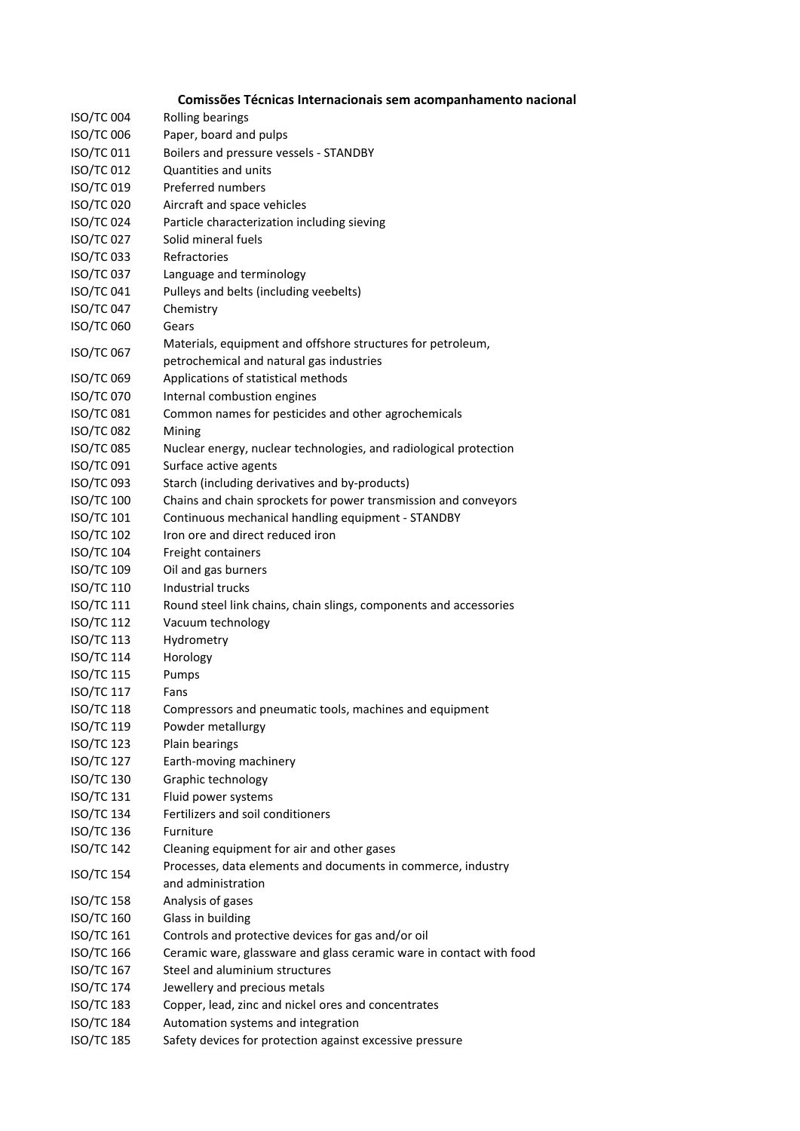| Comissões Técnicas Internacionais sem acompanhamento nacional |  |
|---------------------------------------------------------------|--|
|---------------------------------------------------------------|--|

| <b>ISO/TC 004</b>                      | Rolling bearings                                                    |
|----------------------------------------|---------------------------------------------------------------------|
| <b>ISO/TC 006</b>                      | Paper, board and pulps                                              |
| ISO/TC 011                             | Boilers and pressure vessels - STANDBY                              |
| <b>ISO/TC 012</b>                      | Quantities and units                                                |
| ISO/TC 019                             | <b>Preferred numbers</b>                                            |
| <b>ISO/TC 020</b>                      | Aircraft and space vehicles                                         |
| <b>ISO/TC 024</b>                      | Particle characterization including sieving                         |
| <b>ISO/TC 027</b>                      | Solid mineral fuels                                                 |
| <b>ISO/TC 033</b>                      | Refractories                                                        |
| <b>ISO/TC 037</b>                      | Language and terminology                                            |
| <b>ISO/TC 041</b>                      | Pulleys and belts (including veebelts)                              |
| <b>ISO/TC 047</b>                      | Chemistry                                                           |
| <b>ISO/TC 060</b>                      | Gears                                                               |
|                                        | Materials, equipment and offshore structures for petroleum,         |
| ISO/TC 067                             | petrochemical and natural gas industries                            |
| <b>ISO/TC 069</b>                      | Applications of statistical methods                                 |
| ISO/TC 070                             | Internal combustion engines                                         |
| <b>ISO/TC 081</b>                      | Common names for pesticides and other agrochemicals                 |
| <b>ISO/TC 082</b>                      | Mining                                                              |
| <b>ISO/TC 085</b>                      |                                                                     |
|                                        | Nuclear energy, nuclear technologies, and radiological protection   |
| <b>ISO/TC 091</b><br><b>ISO/TC 093</b> | Surface active agents                                               |
|                                        | Starch (including derivatives and by-products)                      |
| <b>ISO/TC 100</b>                      | Chains and chain sprockets for power transmission and conveyors     |
| <b>ISO/TC 101</b>                      | Continuous mechanical handling equipment - STANDBY                  |
| <b>ISO/TC 102</b>                      | Iron ore and direct reduced iron                                    |
| <b>ISO/TC 104</b>                      | Freight containers                                                  |
| <b>ISO/TC 109</b>                      | Oil and gas burners                                                 |
| ISO/TC 110                             | Industrial trucks                                                   |
| ISO/TC 111                             | Round steel link chains, chain slings, components and accessories   |
| <b>ISO/TC 112</b>                      | Vacuum technology                                                   |
| <b>ISO/TC 113</b>                      | Hydrometry                                                          |
| <b>ISO/TC 114</b>                      | Horology                                                            |
| <b>ISO/TC 115</b>                      | Pumps                                                               |
| <b>ISO/TC 117</b>                      | Fans                                                                |
| <b>ISO/TC 118</b>                      | Compressors and pneumatic tools, machines and equipment             |
| <b>ISO/TC 119</b>                      | Powder metallurgy                                                   |
| <b>ISO/TC 123</b>                      | Plain bearings                                                      |
| <b>ISO/TC 127</b>                      | Earth-moving machinery                                              |
| <b>ISO/TC 130</b>                      | Graphic technology                                                  |
| <b>ISO/TC 131</b>                      | Fluid power systems                                                 |
| <b>ISO/TC 134</b>                      | Fertilizers and soil conditioners                                   |
| <b>ISO/TC 136</b>                      | Furniture                                                           |
| <b>ISO/TC 142</b>                      | Cleaning equipment for air and other gases                          |
| <b>ISO/TC 154</b>                      | Processes, data elements and documents in commerce, industry        |
|                                        | and administration                                                  |
| <b>ISO/TC 158</b>                      | Analysis of gases                                                   |
| <b>ISO/TC 160</b>                      | Glass in building                                                   |
| <b>ISO/TC 161</b>                      | Controls and protective devices for gas and/or oil                  |
| <b>ISO/TC 166</b>                      | Ceramic ware, glassware and glass ceramic ware in contact with food |
| <b>ISO/TC 167</b>                      | Steel and aluminium structures                                      |
| <b>ISO/TC 174</b>                      | Jewellery and precious metals                                       |
| <b>ISO/TC 183</b>                      | Copper, lead, zinc and nickel ores and concentrates                 |
| <b>ISO/TC 184</b>                      | Automation systems and integration                                  |
| <b>ISO/TC 185</b>                      | Safety devices for protection against excessive pressure            |
|                                        |                                                                     |